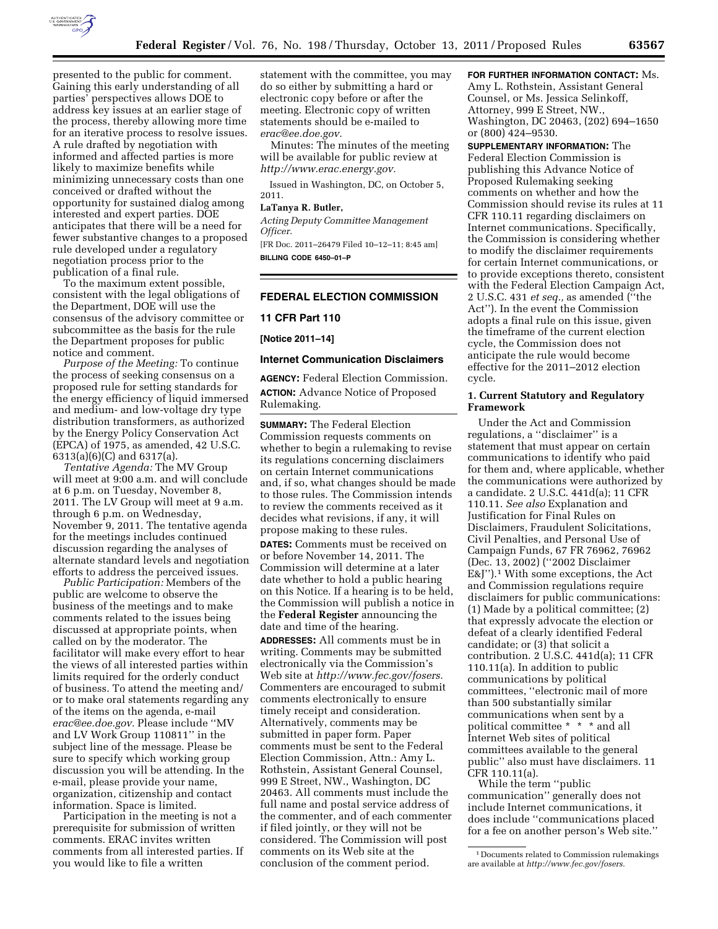

presented to the public for comment. Gaining this early understanding of all parties' perspectives allows DOE to address key issues at an earlier stage of the process, thereby allowing more time for an iterative process to resolve issues. A rule drafted by negotiation with informed and affected parties is more likely to maximize benefits while minimizing unnecessary costs than one conceived or drafted without the opportunity for sustained dialog among interested and expert parties. DOE anticipates that there will be a need for fewer substantive changes to a proposed rule developed under a regulatory negotiation process prior to the publication of a final rule.

To the maximum extent possible, consistent with the legal obligations of the Department, DOE will use the consensus of the advisory committee or subcommittee as the basis for the rule the Department proposes for public notice and comment.

*Purpose of the Meeting:* To continue the process of seeking consensus on a proposed rule for setting standards for the energy efficiency of liquid immersed and medium- and low-voltage dry type distribution transformers, as authorized by the Energy Policy Conservation Act (EPCA) of 1975, as amended, 42 U.S.C. 6313(a)(6)(C) and 6317(a).

*Tentative Agenda:* The MV Group will meet at 9:00 a.m. and will conclude at 6 p.m. on Tuesday, November 8, 2011. The LV Group will meet at 9 a.m. through 6 p.m. on Wednesday, November 9, 2011. The tentative agenda for the meetings includes continued discussion regarding the analyses of alternate standard levels and negotiation efforts to address the perceived issues.

*Public Participation:* Members of the public are welcome to observe the business of the meetings and to make comments related to the issues being discussed at appropriate points, when called on by the moderator. The facilitator will make every effort to hear the views of all interested parties within limits required for the orderly conduct of business. To attend the meeting and/ or to make oral statements regarding any of the items on the agenda, e-mail *[erac@ee.doe.gov.](mailto:erac@ee.doe.gov)* Please include ''MV and LV Work Group 110811'' in the subject line of the message. Please be sure to specify which working group discussion you will be attending. In the e-mail, please provide your name, organization, citizenship and contact information. Space is limited.

Participation in the meeting is not a prerequisite for submission of written comments. ERAC invites written comments from all interested parties. If you would like to file a written

statement with the committee, you may do so either by submitting a hard or electronic copy before or after the meeting. Electronic copy of written statements should be e-mailed to *[erac@ee.doe.gov.](mailto:erac@ee.doe.gov)* 

Minutes: The minutes of the meeting will be available for public review at *[http://www.erac.energy.gov.](http://www.erac.energy.gov)* 

Issued in Washington, DC, on October 5, 2011.

#### **LaTanya R. Butler,**

*Acting Deputy Committee Management Officer.* 

[FR Doc. 2011–26479 Filed 10–12–11; 8:45 am] **BILLING CODE 6450–01–P** 

# **FEDERAL ELECTION COMMISSION**

**11 CFR Part 110** 

**[Notice 2011–14]** 

# **Internet Communication Disclaimers**

**AGENCY:** Federal Election Commission. **ACTION:** Advance Notice of Proposed Rulemaking.

**SUMMARY:** The Federal Election Commission requests comments on whether to begin a rulemaking to revise its regulations concerning disclaimers on certain Internet communications and, if so, what changes should be made to those rules. The Commission intends to review the comments received as it decides what revisions, if any, it will propose making to these rules.

**DATES:** Comments must be received on or before November 14, 2011. The Commission will determine at a later date whether to hold a public hearing on this Notice. If a hearing is to be held, the Commission will publish a notice in the **Federal Register** announcing the date and time of the hearing.

**ADDRESSES:** All comments must be in writing. Comments may be submitted electronically via the Commission's Web site at *[http://www.fec.gov/fosers.](http://www.fec.gov/fosers)*  Commenters are encouraged to submit comments electronically to ensure timely receipt and consideration. Alternatively, comments may be submitted in paper form. Paper comments must be sent to the Federal Election Commission, Attn.: Amy L. Rothstein, Assistant General Counsel, 999 E Street, NW., Washington, DC 20463. All comments must include the full name and postal service address of the commenter, and of each commenter if filed jointly, or they will not be considered. The Commission will post comments on its Web site at the conclusion of the comment period.

#### **FOR FURTHER INFORMATION CONTACT:** Ms.

Amy L. Rothstein, Assistant General Counsel, or Ms. Jessica Selinkoff, Attorney, 999 E Street, NW., Washington, DC 20463, (202) 694–1650 or (800) 424–9530.

**SUPPLEMENTARY INFORMATION:** The Federal Election Commission is publishing this Advance Notice of Proposed Rulemaking seeking comments on whether and how the Commission should revise its rules at 11 CFR 110.11 regarding disclaimers on Internet communications. Specifically, the Commission is considering whether to modify the disclaimer requirements for certain Internet communications, or to provide exceptions thereto, consistent with the Federal Election Campaign Act, 2 U.S.C. 431 *et seq.,* as amended (''the Act''). In the event the Commission adopts a final rule on this issue, given the timeframe of the current election cycle, the Commission does not anticipate the rule would become effective for the 2011–2012 election cycle.

### **1. Current Statutory and Regulatory Framework**

Under the Act and Commission regulations, a ''disclaimer'' is a statement that must appear on certain communications to identify who paid for them and, where applicable, whether the communications were authorized by a candidate. 2 U.S.C. 441d(a); 11 CFR 110.11. *See also* Explanation and Justification for Final Rules on Disclaimers, Fraudulent Solicitations, Civil Penalties, and Personal Use of Campaign Funds, 67 FR 76962, 76962 (Dec. 13, 2002) (''2002 Disclaimer E&J'').1 With some exceptions, the Act and Commission regulations require disclaimers for public communications: (1) Made by a political committee; (2) that expressly advocate the election or defeat of a clearly identified Federal candidate; or (3) that solicit a contribution. 2 U.S.C. 441d(a); 11 CFR 110.11(a). In addition to public communications by political committees, ''electronic mail of more than 500 substantially similar communications when sent by a political committee \* \* \* and all Internet Web sites of political committees available to the general public'' also must have disclaimers. 11 CFR 110.11(a).

While the term ''public communication'' generally does not include Internet communications, it does include ''communications placed for a fee on another person's Web site.''

<sup>1</sup> Documents related to Commission rulemakings are available at *[http://www.fec.gov/fosers.](http://www.fec.gov/fosers)*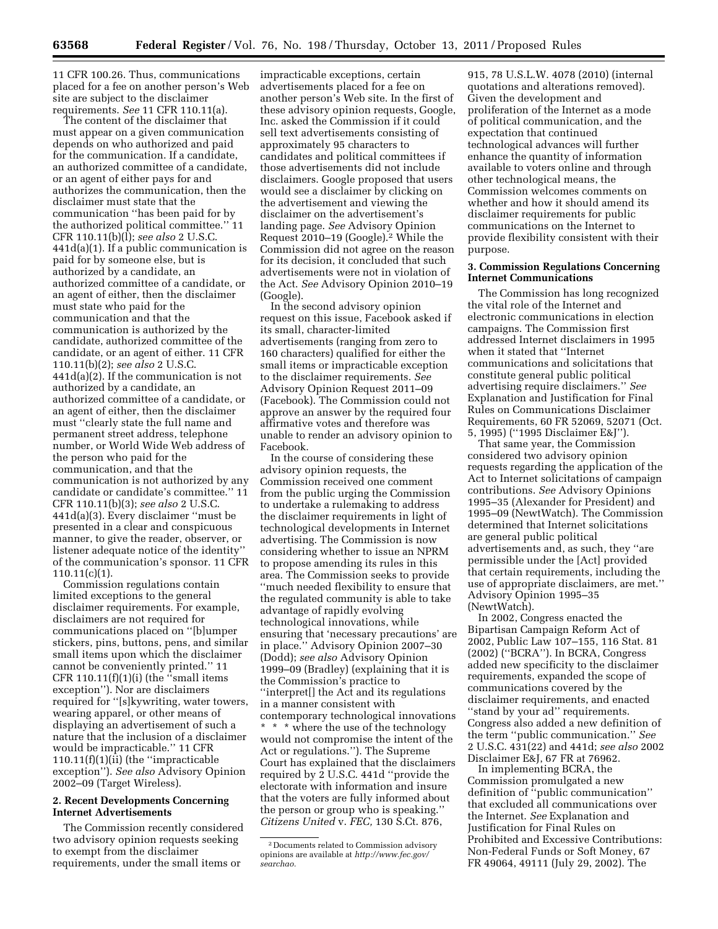11 CFR 100.26. Thus, communications placed for a fee on another person's Web site are subject to the disclaimer requirements. *See* 11 CFR 110.11(a).

The content of the disclaimer that must appear on a given communication depends on who authorized and paid for the communication. If a candidate, an authorized committee of a candidate, or an agent of either pays for and authorizes the communication, then the disclaimer must state that the communication ''has been paid for by the authorized political committee.'' 11 CFR 110.11(b)(l); *see also* 2 U.S.C.  $441d(a)(1)$ . If a public communication is paid for by someone else, but is authorized by a candidate, an authorized committee of a candidate, or an agent of either, then the disclaimer must state who paid for the communication and that the communication is authorized by the candidate, authorized committee of the candidate, or an agent of either. 11 CFR 110.11(b)(2); *see also* 2 U.S.C. 441d(a)(2). If the communication is not authorized by a candidate, an authorized committee of a candidate, or an agent of either, then the disclaimer must ''clearly state the full name and permanent street address, telephone number, or World Wide Web address of the person who paid for the communication, and that the communication is not authorized by any candidate or candidate's committee.'' 11 CFR 110.11(b)(3); *see also* 2 U.S.C. 441d(a)(3). Every disclaimer ''must be presented in a clear and conspicuous manner, to give the reader, observer, or listener adequate notice of the identity'' of the communication's sponsor. 11 CFR 110.11(c)(1).

Commission regulations contain limited exceptions to the general disclaimer requirements. For example, disclaimers are not required for communications placed on ''[b]umper stickers, pins, buttons, pens, and similar small items upon which the disclaimer cannot be conveniently printed.'' 11 CFR 110.11 $(f)(1)(i)$  (the "small items") exception''). Nor are disclaimers required for ''[s]kywriting, water towers, wearing apparel, or other means of displaying an advertisement of such a nature that the inclusion of a disclaimer would be impracticable.'' 11 CFR 110.11(f)(1)(ii) (the ''impracticable exception''). *See also* Advisory Opinion 2002–09 (Target Wireless).

## **2. Recent Developments Concerning Internet Advertisements**

The Commission recently considered two advisory opinion requests seeking to exempt from the disclaimer requirements, under the small items or

impracticable exceptions, certain advertisements placed for a fee on another person's Web site. In the first of these advisory opinion requests, Google, Inc. asked the Commission if it could sell text advertisements consisting of approximately 95 characters to candidates and political committees if those advertisements did not include disclaimers. Google proposed that users would see a disclaimer by clicking on the advertisement and viewing the disclaimer on the advertisement's landing page. *See* Advisory Opinion Request 2010–19 (Google).2 While the Commission did not agree on the reason for its decision, it concluded that such advertisements were not in violation of the Act. *See* Advisory Opinion 2010–19 (Google).

In the second advisory opinion request on this issue, Facebook asked if its small, character-limited advertisements (ranging from zero to 160 characters) qualified for either the small items or impracticable exception to the disclaimer requirements. *See*  Advisory Opinion Request 2011–09 (Facebook). The Commission could not approve an answer by the required four affirmative votes and therefore was unable to render an advisory opinion to Facebook.

In the course of considering these advisory opinion requests, the Commission received one comment from the public urging the Commission to undertake a rulemaking to address the disclaimer requirements in light of technological developments in Internet advertising. The Commission is now considering whether to issue an NPRM to propose amending its rules in this area. The Commission seeks to provide ''much needed flexibility to ensure that the regulated community is able to take advantage of rapidly evolving technological innovations, while ensuring that 'necessary precautions' are in place.'' Advisory Opinion 2007–30 (Dodd); *see also* Advisory Opinion 1999–09 (Bradley) (explaining that it is the Commission's practice to ''interpret[] the Act and its regulations in a manner consistent with contemporary technological innovations \* \* \* where the use of the technology would not compromise the intent of the Act or regulations.''). The Supreme Court has explained that the disclaimers required by 2 U.S.C. 441d ''provide the electorate with information and insure that the voters are fully informed about the person or group who is speaking.'' *Citizens United* v. *FEC,* 130 S.Ct. 876,

915, 78 U.S.L.W. 4078 (2010) (internal quotations and alterations removed). Given the development and proliferation of the Internet as a mode of political communication, and the expectation that continued technological advances will further enhance the quantity of information available to voters online and through other technological means, the Commission welcomes comments on whether and how it should amend its disclaimer requirements for public communications on the Internet to provide flexibility consistent with their purpose.

### **3. Commission Regulations Concerning Internet Communications**

The Commission has long recognized the vital role of the Internet and electronic communications in election campaigns. The Commission first addressed Internet disclaimers in 1995 when it stated that ''Internet communications and solicitations that constitute general public political advertising require disclaimers.'' *See*  Explanation and Justification for Final Rules on Communications Disclaimer Requirements, 60 FR 52069, 52071 (Oct. 5, 1995) (''1995 Disclaimer E&J'').

That same year, the Commission considered two advisory opinion requests regarding the application of the Act to Internet solicitations of campaign contributions. *See* Advisory Opinions 1995–35 (Alexander for President) and 1995–09 (NewtWatch). The Commission determined that Internet solicitations are general public political advertisements and, as such, they ''are permissible under the [Act] provided that certain requirements, including the use of appropriate disclaimers, are met.'' Advisory Opinion 1995–35 (NewtWatch).

In 2002, Congress enacted the Bipartisan Campaign Reform Act of 2002, Public Law 107–155, 116 Stat. 81 (2002) (''BCRA''). In BCRA, Congress added new specificity to the disclaimer requirements, expanded the scope of communications covered by the disclaimer requirements, and enacted ''stand by your ad'' requirements. Congress also added a new definition of the term ''public communication.'' *See*  2 U.S.C. 431(22) and 441d; *see also* 2002 Disclaimer E&J, 67 FR at 76962.

In implementing BCRA, the Commission promulgated a new definition of ''public communication'' that excluded all communications over the Internet. *See* Explanation and Justification for Final Rules on Prohibited and Excessive Contributions: Non-Federal Funds or Soft Money, 67 FR 49064, 49111 (July 29, 2002). The

<sup>2</sup> Documents related to Commission advisory opinions are available at *[http://www.fec.gov/](http://www.fec.gov/searchao)  [searchao.](http://www.fec.gov/searchao)*